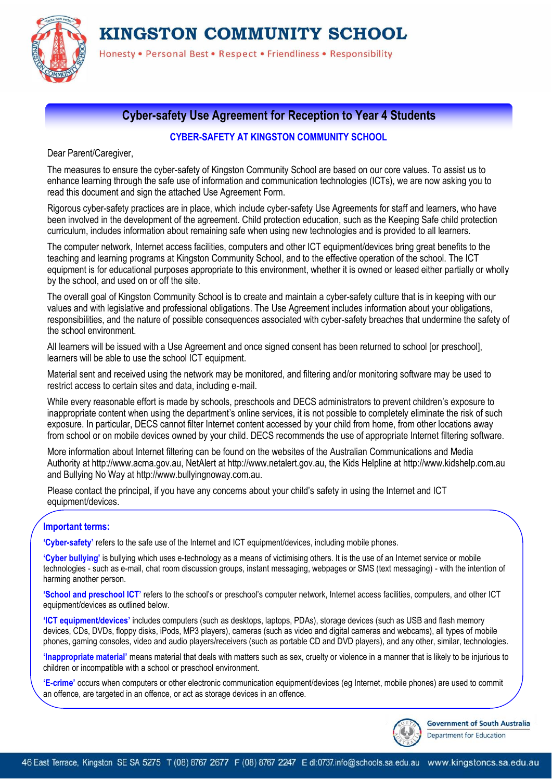KINGSTON COMMUNITY SCHOOL



Honesty . Personal Best . Respect . Friendliness . Responsibility

## **Cyber-safety Use Agreement for Reception to Year 4 Students**

### **CYBER-SAFETY AT KINGSTON COMMUNITY SCHOOL**

Dear Parent/Caregiver,

The measures to ensure the cyber-safety of Kingston Community School are based on our core values. To assist us to enhance learning through the safe use of information and communication technologies (ICTs), we are now asking you to read this document and sign the attached Use Agreement Form.

Rigorous cyber-safety practices are in place, which include cyber-safety Use Agreements for staff and learners, who have been involved in the development of the agreement. Child protection education, such as the Keeping Safe child protection curriculum, includes information about remaining safe when using new technologies and is provided to all learners.

The computer network, Internet access facilities, computers and other ICT equipment/devices bring great benefits to the teaching and learning programs at Kingston Community School, and to the effective operation of the school. The ICT equipment is for educational purposes appropriate to this environment, whether it is owned or leased either partially or wholly by the school, and used on or off the site.

The overall goal of Kingston Community School is to create and maintain a cyber-safety culture that is in keeping with our values and with legislative and professional obligations. The Use Agreement includes information about your obligations, responsibilities, and the nature of possible consequences associated with cyber-safety breaches that undermine the safety of the school environment.

All learners will be issued with a Use Agreement and once signed consent has been returned to school [or preschool], learners will be able to use the school ICT equipment.

Material sent and received using the network may be monitored, and filtering and/or monitoring software may be used to restrict access to certain sites and data, including e-mail.

While every reasonable effort is made by schools, preschools and DECS administrators to prevent children's exposure to inappropriate content when using the department's online services, it is not possible to completely eliminate the risk of such exposure. In particular, DECS cannot filter Internet content accessed by your child from home, from other locations away from school or on mobile devices owned by your child. DECS recommends the use of appropriate Internet filtering software.

More information about Internet filtering can be found on the websites of the Australian Communications and Media Authority at http://www.acma.gov.au, NetAlert at http://www.netalert.gov.au, the Kids Helpline at http://www.kidshelp.com.au and Bullying No Way at http://www.bullyingnoway.com.au.

Please contact the principal, if you have any concerns about your child's safety in using the Internet and ICT equipment/devices.

### **Important terms:**

**'Cyber-safety'** refers to the safe use of the Internet and ICT equipment/devices, including mobile phones.

**'Cyber bullying'** is bullying which uses e-technology as a means of victimising others. It is the use of an Internet service or mobile technologies - such as e-mail, chat room discussion groups, instant messaging, webpages or SMS (text messaging) - with the intention of harming another person.

**'School and preschool ICT'** refers to the school's or preschool's computer network, Internet access facilities, computers, and other ICT equipment/devices as outlined below.

**'ICT equipment/devices'** includes computers (such as desktops, laptops, PDAs), storage devices (such as USB and flash memory devices, CDs, DVDs, floppy disks, iPods, MP3 players), cameras (such as video and digital cameras and webcams), all types of mobile phones, gaming consoles, video and audio players/receivers (such as portable CD and DVD players), and any other, similar, technologies.

**'Inappropriate material'** means material that deals with matters such as sex, cruelty or violence in a manner that is likely to be injurious to children or incompatible with a school or preschool environment.

**'E-crime'** occurs when computers or other electronic communication equipment/devices (eg Internet, mobile phones) are used to commit an offence, are targeted in an offence, or act as storage devices in an offence.



**Government of South Australia** Department for Education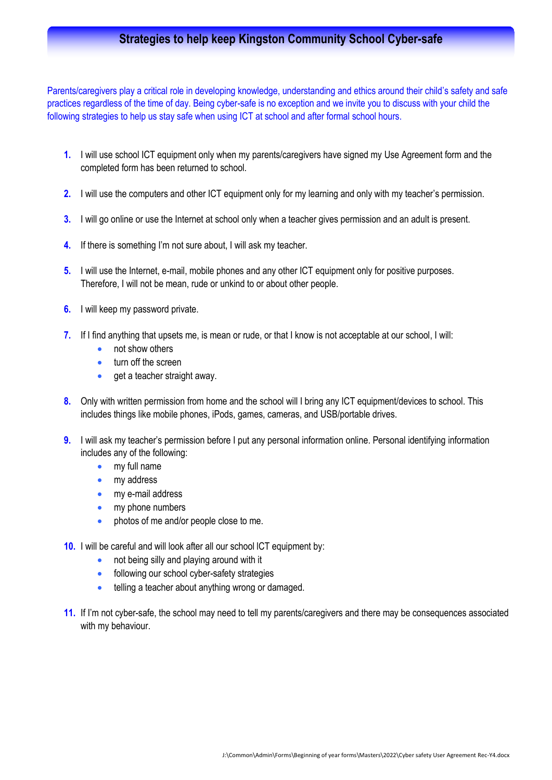# **Strategies to help keep Kingston Community School Cyber-safe**

Parents/caregivers play a critical role in developing knowledge, understanding and ethics around their child's safety and safe practices regardless of the time of day. Being cyber-safe is no exception and we invite you to discuss with your child the following strategies to help us stay safe when using ICT at school and after formal school hours.

- **1.** I will use school ICT equipment only when my parents/caregivers have signed my Use Agreement form and the completed form has been returned to school.
- **2.** I will use the computers and other ICT equipment only for my learning and only with my teacher's permission.
- **3.** I will go online or use the Internet at school only when a teacher gives permission and an adult is present.
- **4.** If there is something I'm not sure about, I will ask my teacher.
- **5.** I will use the Internet, e-mail, mobile phones and any other ICT equipment only for positive purposes. Therefore, I will not be mean, rude or unkind to or about other people.
- **6.** I will keep my password private.
- **7.** If I find anything that upsets me, is mean or rude, or that I know is not acceptable at our school, I will:
	- not show others
	- **turn off the screen**
	- get a teacher straight away.
- **8.** Only with written permission from home and the school will I bring any ICT equipment/devices to school. This includes things like mobile phones, iPods, games, cameras, and USB/portable drives.
- **9.** I will ask my teacher's permission before I put any personal information online. Personal identifying information includes any of the following:
	- my full name
	- my address
	- my e-mail address
	- my phone numbers
	- photos of me and/or people close to me.
- **10.** I will be careful and will look after all our school lCT equipment by:
	- not being silly and playing around with it
	- **•** following our school cyber-safety strategies
	- **•** telling a teacher about anything wrong or damaged.
- **11.** If I'm not cyber-safe, the school may need to tell my parents/caregivers and there may be consequences associated with my behaviour.